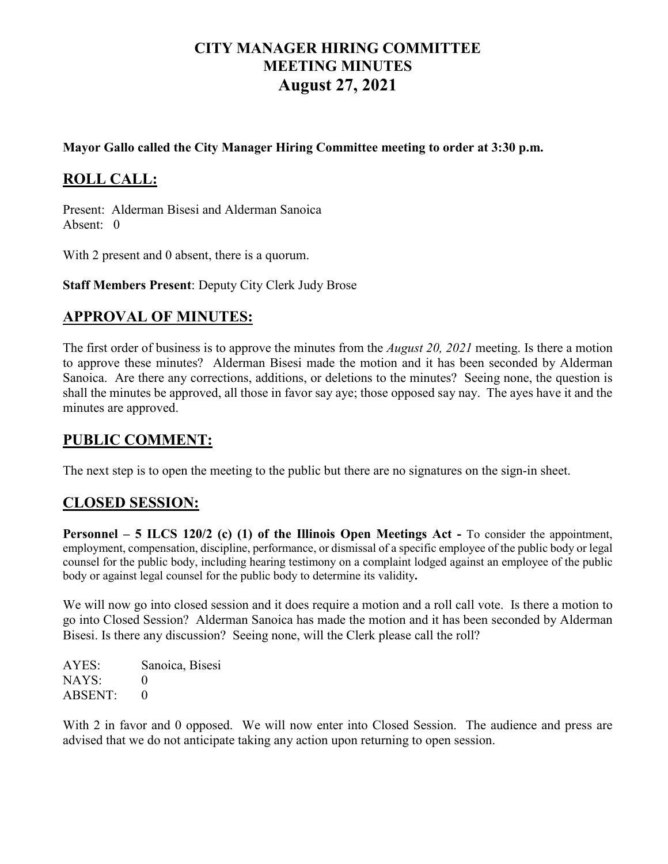# **CITY MANAGER HIRING COMMITTEE MEETING MINUTES August 27, 2021**

#### **Mayor Gallo called the City Manager Hiring Committee meeting to order at 3:30 p.m.**

# **ROLL CALL:**

Present: Alderman Bisesi and Alderman Sanoica Absent: 0

With 2 present and 0 absent, there is a quorum.

**Staff Members Present**: Deputy City Clerk Judy Brose

## **APPROVAL OF MINUTES:**

The first order of business is to approve the minutes from the *August 20, 2021* meeting. Is there a motion to approve these minutes? Alderman Bisesi made the motion and it has been seconded by Alderman Sanoica. Are there any corrections, additions, or deletions to the minutes? Seeing none, the question is shall the minutes be approved, all those in favor say aye; those opposed say nay. The ayes have it and the minutes are approved.

## **PUBLIC COMMENT:**

The next step is to open the meeting to the public but there are no signatures on the sign-in sheet.

### **CLOSED SESSION:**

**Personnel – 5 ILCS 120/2 (c) (1) of the Illinois Open Meetings Act -** To consider the appointment, employment, compensation, discipline, performance, or dismissal of a specific employee of the public body or legal counsel for the public body, including hearing testimony on a complaint lodged against an employee of the public body or against legal counsel for the public body to determine its validity**.**

We will now go into closed session and it does require a motion and a roll call vote. Is there a motion to go into Closed Session? Alderman Sanoica has made the motion and it has been seconded by Alderman Bisesi. Is there any discussion? Seeing none, will the Clerk please call the roll?

AYES: Sanoica, Bisesi NAYS: 0 ABSENT: 0

With 2 in favor and 0 opposed. We will now enter into Closed Session. The audience and press are advised that we do not anticipate taking any action upon returning to open session.